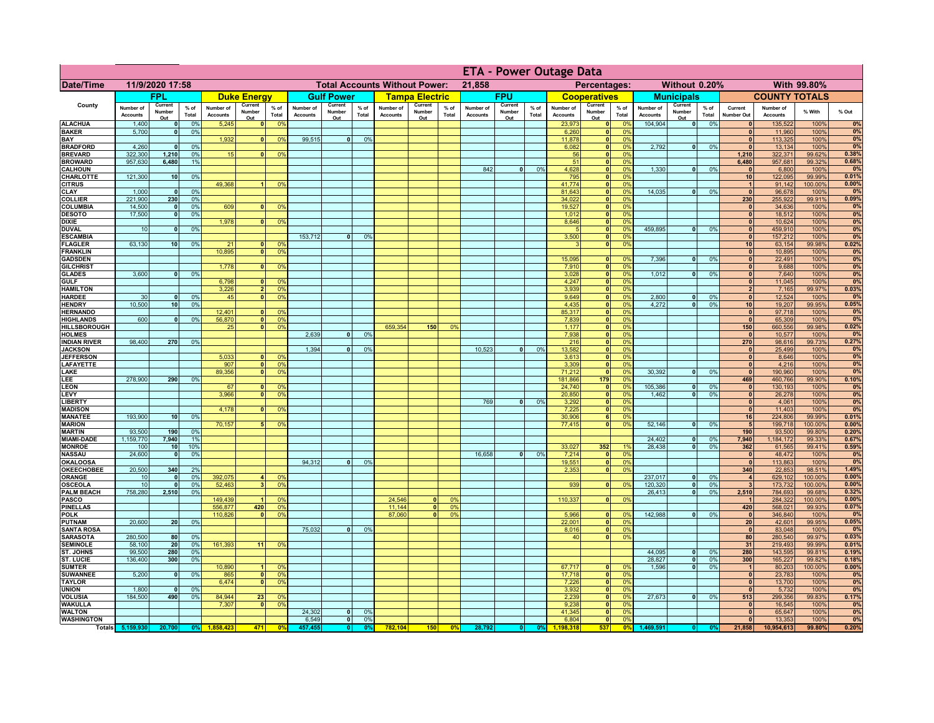|                                      |                              |                          |                 |                              |                                      |                                  | <b>ETA - Power Outage Data</b> |                               |                 |                              |                          |                |                              |                          |                              |                              |                           |                      |                              |                          |                 |                                |                              |                   |                |
|--------------------------------------|------------------------------|--------------------------|-----------------|------------------------------|--------------------------------------|----------------------------------|--------------------------------|-------------------------------|-----------------|------------------------------|--------------------------|----------------|------------------------------|--------------------------|------------------------------|------------------------------|---------------------------|----------------------|------------------------------|--------------------------|-----------------|--------------------------------|------------------------------|-------------------|----------------|
| <b>Date/Time</b>                     | 11/9/2020 17:58              |                          |                 |                              | <b>Total Accounts Without Power:</b> |                                  |                                |                               |                 | 21,858<br>Percentages:       |                          |                |                              |                          | Without 0.20%<br>With 99.80% |                              |                           |                      |                              |                          |                 |                                |                              |                   |                |
|                                      |                              | FPL                      |                 |                              | <b>Duke Energy</b>                   |                                  |                                | <b>Gulf Power</b>             |                 |                              | <b>Tampa Electric</b>    |                |                              | <b>FPU</b>               |                              |                              | <b>Cooperatives</b>       |                      |                              | <b>Municipals</b>        |                 |                                | <b>COUNTY TOTALS</b>         |                   |                |
| County                               | Number of<br><b>Accounts</b> | Current<br>Number<br>Out | $%$ of<br>Total | Number of<br><b>Accounts</b> | Current<br>Number<br>Out             | $%$ of<br>Total                  | Number of<br><b>Accounts</b>   | Current<br>Number<br>Out      | $%$ of<br>Total | Number of<br><b>Accounts</b> | Current<br>Number<br>Out | % of<br>Total  | Number of<br><b>Accounts</b> | Current<br>Number<br>Out | % of<br>Total                | Number of<br><b>Accounts</b> | Current<br>Number<br>Out  | $%$ of<br>Total      | Number of<br><b>Accounts</b> | Current<br>Number<br>Out | $%$ of<br>Total | Current<br><b>Number Out</b>   | Number of<br><b>Accounts</b> | % With            | % Out          |
| <b>ALACHUA</b>                       | 1,400                        | $\mathbf{0}$             | 0%              | 5,245                        | 0                                    | 0 <sup>9</sup>                   |                                |                               |                 |                              |                          |                |                              |                          |                              | 23,973                       | 0                         | 0%                   | 104,904                      | $\overline{\bullet}$     | 0%              | 0                              | 135,522                      | 100%              | 0%             |
| <b>BAKER</b><br>BAY                  | 5,700                        | 0                        | 0%              | 1,932                        | $\mathbf{0}$                         | 0 <sup>9</sup>                   | 99,515                         | $\overline{0}$                | 0%              |                              |                          |                |                              |                          |                              | 6,260<br>11,878              | 0 <br> 0                  | 0 <sup>9</sup><br>0% |                              |                          |                 | $\mathbf{0}$<br>$\mathbf{0}$   | 11,960<br>113,325            | 100%<br>100%      | 0%<br>0%       |
| <b>BRADFORD</b>                      | 4,260                        | $\mathbf{0}$             | 0%              |                              |                                      |                                  |                                |                               |                 |                              |                          |                |                              |                          |                              | 6,082                        | $\mathbf{0}$              | 0%                   | 2,792                        | 0                        | 0%              | $\Omega$                       | 13,134                       | 100%              | 0%             |
| <b>BREVARD</b>                       | 322,300                      | 1,210                    | 0%<br>1%        | 15                           | 0                                    | 0%                               |                                |                               |                 |                              |                          |                |                              |                          |                              | 56                           | 0                         | 0%                   |                              |                          |                 | 1,210                          | 322,371                      | 99.62%            | 0.38%<br>0.68% |
| <b>BROWARD</b><br><b>CALHOUN</b>     | 957,630                      | 6,480                    |                 |                              |                                      |                                  |                                |                               |                 |                              |                          |                | 842                          | $\mathbf{0}$             | 0%                           | 51<br>4,628                  | 0 <br> 0                  | 0%<br>0%             | 1,330                        | 0                        | 0%              | 6,480<br>$\mathbf{0}$          | 957,681<br>6,800             | 99.32%<br>100%    | 0%             |
| CHARLOTTE                            | 121,300                      | 10                       | 0%              |                              |                                      |                                  |                                |                               |                 |                              |                          |                |                              |                          |                              | 795                          | 0                         | 0%                   |                              |                          |                 | 10                             | 122,095                      | 99.99%            | 0.01%          |
| <b>CITRUS</b><br><b>CLAY</b>         | 1,000                        | $\mathbf{0}$             | 0%              | 49,368                       |                                      | 0 <sup>9</sup>                   |                                |                               |                 |                              |                          |                |                              |                          |                              | 41,774<br>81,643             | 0 <br>$\mathbf{0}$        | 0%<br>0%             | 14,035                       | -ol                      | 0%              | $\overline{1}$<br>$\mathbf{0}$ | 91,142<br>96,678             | 100.00%<br>100%   | 0.00%<br>0%    |
| <b>COLLIER</b>                       | 221,900                      | 230                      | 0%              |                              |                                      |                                  |                                |                               |                 |                              |                          |                |                              |                          |                              | 34,022                       | $\mathbf{0}$              | 0%                   |                              |                          |                 | 230                            | 255,922                      | 99.91%            | 0.09%          |
| <b>COLUMBIA</b>                      | 14,500                       | $\mathbf{0}$             | 0%              | 609                          |                                      | 0 <sup>9</sup>                   |                                |                               |                 |                              |                          |                |                              |                          |                              | 19,527                       | $\mathbf{0}$              | 0%                   |                              |                          |                 | $\mathbf{0}$                   | 34,636                       | 100%              | 0%             |
| <b>DESOTO</b><br><b>DIXIE</b>        | 17,500                       | $\mathbf{0}$             | 0%              | 1,978                        | $\mathbf{0}$                         | 0 <sup>9</sup>                   |                                |                               |                 |                              |                          |                |                              |                          |                              | 1,012<br>8,646               | $\pmb{0}$<br>$\mathbf{0}$ | 0%<br>0%             |                              |                          |                 | $\mathbf{0}$<br>$\mathbf{0}$   | 18,512<br>10,624             | 100%<br>100%      | 0%<br>0%       |
| <b>DUVAL</b>                         | 10                           | $\mathbf 0$              | 0%              |                              |                                      |                                  |                                |                               |                 |                              |                          |                |                              |                          |                              |                              | $\mathbf{0}$              | 0%                   | 459,895                      | 0                        | 0%              | $\mathbf{0}$                   | 459,910                      | 100%              | 0%             |
| <b>ESCAMBIA</b>                      |                              |                          |                 |                              |                                      |                                  | 153,712                        | $\mathbf{0}$                  | 0 <sup>9</sup>  |                              |                          |                |                              |                          |                              | 3,500                        | 0                         | 0%                   |                              |                          |                 | $\mathbf{0}$                   | 157,212                      | 100%              | 0%             |
| <b>FLAGLER</b><br><b>FRANKLIN</b>    | 63,130                       | 10                       | 0%              | 21<br>10,895                 | $\mathbf{0}$<br>$\Omega$             | 0 <sup>9</sup><br>0 <sup>9</sup> |                                |                               |                 |                              |                          |                |                              |                          |                              | $\mathbf{B}$                 | 0                         | 0%                   |                              |                          |                 | 10<br> 0                       | 63,154<br>10,895             | 99.98%<br>100%    | 0.02%<br>0%    |
| <b>GADSDEN</b>                       |                              |                          |                 |                              |                                      |                                  |                                |                               |                 |                              |                          |                |                              |                          |                              | 15,095                       | 0                         | 0%                   | 7,396                        | -ol                      | 0%              | 0                              | 22,491                       | 100%              | 0%             |
| <b>GILCHRIST</b>                     |                              |                          |                 | 1.778                        | $\Omega$                             | 0 <sup>9</sup>                   |                                |                               |                 |                              |                          |                |                              |                          |                              | 7,910                        | $\overline{\bullet}$      | 0%                   |                              |                          |                 | $\overline{0}$                 | 9,688                        | 100%              | 0%             |
| <b>GLADES</b><br><b>GULF</b>         | 3,600                        | 0                        | 0%              | 6,798                        | $\Omega$                             | 0 <sup>9</sup>                   |                                |                               |                 |                              |                          |                |                              |                          |                              | 3,028<br>4,247               | 0 <br> 0                  | 0%<br>0%             | 1,012                        | $\lceil 0 \rceil$        | 0%              | 0 <br>$\mathbf{0}$             | 7,640<br>11,045              | 100%<br>100%      | 0%<br>0%       |
| <b>HAMILTON</b>                      |                              |                          |                 | 3,226                        | $\overline{2}$                       | 0 <sup>9</sup>                   |                                |                               |                 |                              |                          |                |                              |                          |                              | 3,939                        | 0                         | 0%                   |                              |                          |                 | $\overline{2}$                 | 7,165                        | 99.97%            | 0.03%          |
| <b>HARDEE</b>                        | 30                           | $\mathbf{0}$             | 0%              | 45                           | $\overline{\mathbf{0}}$              | 0%                               |                                |                               |                 |                              |                          |                |                              |                          |                              | 9,649                        | 0                         | 0%                   | 2,800                        | $\mathbf{0}$             | 0%              | 0                              | 12,524                       | 100%              | 0%             |
| <b>HENDRY</b><br><b>HERNANDO</b>     | 10.500                       | 10                       | 0%              | 12,401                       | n l                                  | 0 <sup>9</sup>                   |                                |                               |                 |                              |                          |                |                              |                          |                              | 4,435<br>85,317              | 0 <br> 0                  | 0%<br>0%             | 4.272                        | $\overline{0}$           | 0%              | 10<br>$\bullet$                | 19,207<br>97,718             | 99.95%<br>100%    | 0.05%<br>0%    |
| <b>HIGHLANDS</b>                     | 600                          | $\Omega$                 | 0%              | 56,870                       | $\overline{\mathbf{0}}$              | 0 <sup>9</sup>                   |                                |                               |                 |                              |                          |                |                              |                          |                              | 7,839                        | 0                         | 0%                   |                              |                          |                 | $\overline{0}$                 | 65,309                       | 100%              | 0%             |
| HILLSBOROUGH                         |                              |                          |                 | 25                           | $\mathbf{0}$                         | 0 <sup>9</sup>                   |                                |                               |                 | 659,354                      | 150                      | 0 <sup>9</sup> |                              |                          |                              | 1,177                        | 0                         | 0%                   |                              |                          |                 | 150                            | 660,556                      | 99.98%            | 0.02%          |
| <b>HOLMES</b><br><b>INDIAN RIVER</b> | 98,400                       | 270                      | 0%              |                              |                                      |                                  | 2,639                          |                               | 0%              |                              |                          |                |                              |                          |                              | 7,938<br>216                 | 0 <br> 0                  | 0%<br>0%             |                              |                          |                 | $\Omega$<br>270                | 10,577<br>98,616             | 100%<br>99.73%    | 0%<br>0.27%    |
| <b>JACKSON</b>                       |                              |                          |                 |                              |                                      |                                  | 1,394                          |                               | 0%              |                              |                          |                | 10,523                       | $\Omega$                 | 0%                           | 13,582                       | 0                         | 0%                   |                              |                          |                 | 0                              | 25,499                       | 100%              | 0%             |
| <b>JEFFERSON</b>                     |                              |                          |                 | 5,033                        | n١                                   | 0 <sup>9</sup>                   |                                |                               |                 |                              |                          |                |                              |                          |                              | 3,613                        | 0                         | 0%                   |                              |                          |                 | 0                              | 8,646                        | 100%              | 0%             |
| <b>LAFAYETTE</b><br>LAKE             |                              |                          |                 | 907<br>89,356                | 0<br>$\mathbf{0}$                    | 0 <sup>9</sup><br>0 <sup>9</sup> |                                |                               |                 |                              |                          |                |                              |                          |                              | 3,309<br>71,212              | 0 <br> 0                  | 0%<br>0%             | 30,392                       | $\overline{0}$           | 0%              | 0 <br> 0                       | 4,216<br>190,960             | 100%<br>100%      | 0%<br>0%       |
| LEE                                  | 278,900                      | 290                      | 0%              |                              |                                      |                                  |                                |                               |                 |                              |                          |                |                              |                          |                              | 181,866                      | 179                       | 0%                   |                              |                          |                 | 469                            | 460,766                      | 99.90%            | 0.10%          |
| <b>LEON</b>                          |                              |                          |                 | 67                           | $\mathbf{0}$                         | 0 <sup>9</sup>                   |                                |                               |                 |                              |                          |                |                              |                          |                              | 24,740                       | 0                         | 0%                   | 105,386                      | $\overline{0}$           | 0%              | 0                              | 130,193                      | 100%              | 0%             |
| LEVY<br><b>LIBERTY</b>               |                              |                          |                 | 3,966                        | $\overline{0}$                       | 0 <sup>9</sup>                   |                                |                               |                 |                              |                          |                | 769                          | 0                        | 0%                           | 20,850                       | 0 <br> 0                  | 0%<br>0%             | 1,462                        | 0                        | 0%              | 0 <br> 0                       | 26,278<br>4,061              | 100%<br>100%      | 0%<br>0%       |
| <b>MADISON</b>                       |                              |                          |                 | 4,178                        | $\Omega$                             | 0 <sup>9</sup>                   |                                |                               |                 |                              |                          |                |                              |                          |                              | 3,292<br>7,225               | 0                         | 0%                   |                              |                          |                 | 0                              | 11,403                       | 100%              | 0%             |
| <b>MANATEE</b>                       | 193,900                      | 10 <sup>1</sup>          | 0%              |                              |                                      |                                  |                                |                               |                 |                              |                          |                |                              |                          |                              | 30,906                       | 6                         | 0%                   |                              |                          |                 | 16                             | 224,806                      | 99.99%            | 0.01%          |
| <b>MARION</b><br><b>MARTIN</b>       | 93,500                       | 190                      | 0%              | 70,157                       | 51                                   | 0%                               |                                |                               |                 |                              |                          |                |                              |                          |                              | 77,415                       | 0                         | 0%                   | 52,146                       | 0                        | 0%              | 5 <sub>5</sub><br>190          | 199,718<br>93,500            | 100.00%<br>99.80% | 0.00%<br>0.20% |
| <b>MIAMI-DADE</b>                    | 1,159,770                    | 7,940                    | 1%              |                              |                                      |                                  |                                |                               |                 |                              |                          |                |                              |                          |                              |                              |                           |                      | 24,402                       | 0                        | 0%              | 7,940                          | 1,184,172                    | 99.33%            | 0.67%          |
| <b>MONROE</b>                        | 100                          | 10 <sup>1</sup>          | 10%             |                              |                                      |                                  |                                |                               |                 |                              |                          |                |                              |                          |                              | 33,027                       | 352                       | 19                   | 28,438                       | - O I                    | 0%              | 362                            | 61,565                       | 99.41%            | 0.59%          |
| <b>NASSAU</b>                        | 24,600                       | 0                        | 0%              |                              |                                      |                                  |                                |                               |                 |                              |                          |                | 16,658                       | 0                        | 0%                           | 7,214                        | 0                         | 0%<br>0%             |                              |                          |                 | 0                              | 48,472                       | 100%              | 0%<br>0%       |
| <b>OKALOOSA</b><br><b>OKEECHOBEE</b> | 20,500                       | 340                      | 2%              |                              |                                      |                                  | 94,312                         | 0                             | 0%              |                              |                          |                |                              |                          |                              | 19,551<br>2,353              | 0 <br> 0                  | 0%                   |                              |                          |                 | 0 <br>340                      | 113,863<br>22,853            | 100%<br>98.51%    | 1.49%          |
| <b>ORANGE</b>                        | 10                           | $\mathbf{0}$             | 0%              | 392,075                      | 4 <sup>1</sup>                       | 0 <sup>9</sup>                   |                                |                               |                 |                              |                          |                |                              |                          |                              |                              |                           |                      | 237,017                      | 0                        | 0%              | $\overline{4}$                 | 629,102                      | 100.00%           | 0.00%          |
| <b>OSCEOLA</b>                       | 10<br>758,280                | $\mathbf{0}$<br>2,510    | 0%<br>0%        | 52,463                       | 3 <sup>1</sup>                       | 0 <sup>9</sup>                   |                                |                               |                 |                              |                          |                |                              |                          |                              | 939                          | 0                         | 0%                   | 120,320<br>26,413            | 0 <br>- o l              | 0%<br>0%        | 3 <br>2,510                    | 173,732<br>784,693           | 100.00%           | 0.00%<br>0.32% |
| <b>PALM BEACH</b><br><b>PASCO</b>    |                              |                          |                 | 149,439                      | -1                                   | 0 <sup>9</sup>                   |                                |                               |                 | 24,546                       | $\bf{0}$                 | 0 <sup>0</sup> |                              |                          |                              | 110,337                      | 0                         | 0%                   |                              |                          |                 | $\mathbf{1}$                   | 284,322                      | 99.68%<br>100.00% | 0.00%          |
| <b>PINELLAS</b>                      |                              |                          |                 | 556,877                      | 420                                  | 0 <sup>9</sup>                   |                                |                               |                 | 11,144                       | $\mathbf{0}$             | 0 <sup>9</sup> |                              |                          |                              |                              |                           |                      |                              |                          |                 | 420                            | 568,021                      | 99.93%            | 0.07%          |
| <b>POLK</b><br><b>PUTNAM</b>         | 20,600                       |                          | 0%              | 110,826                      | $\mathbf{0}$                         | 0%                               |                                |                               |                 | 87,060                       | $\mathbf{0}$             | 0 <sup>9</sup> |                              |                          |                              | 5,966<br>22,001              | 0                         | $\Omega$<br>0%       | 142,988                      | 0                        | 0%              | 0 <br>20 <sup>1</sup>          | 346,840                      | 100%              | 0%<br>0.05%    |
| <b>SANTA ROSA</b>                    |                              | 20                       |                 |                              |                                      |                                  | 75,032                         | $\mathbf{0}$                  | 0%              |                              |                          |                |                              |                          |                              | 8,016                        | 0 <br> 0                  | 0%                   |                              |                          |                 | 0                              | 42,601<br>83,048             | 99.95%<br>100%    | 0%             |
| <b>SARASOTA</b>                      | 280,500                      | 80                       | 0%              |                              |                                      |                                  |                                |                               |                 |                              |                          |                |                              |                          |                              | 40                           | 0                         | 0%                   |                              |                          |                 | 80 <sup>1</sup>                | 280,540                      | 99.97%            | 0.03%          |
| <b>SEMINOLE</b><br>ST. JOHNS         | 58,100<br>99,500             | 20<br>280                | 0%<br>0%        | 161,393                      | 11                                   | 0 <sup>9</sup>                   |                                |                               |                 |                              |                          |                |                              |                          |                              |                              |                           |                      | 44,095                       | 0                        | 0%              | 31<br>280                      | 219,493<br>143,595           | 99.99%<br>99.81%  | 0.01%<br>0.19% |
| <b>ST. LUCIE</b>                     | 136,400                      | 300                      | 0%              |                              |                                      |                                  |                                |                               |                 |                              |                          |                |                              |                          |                              |                              |                           |                      | 28,827                       | 0                        | 0%              | 300                            | 165,227                      | 99.82%            | 0.18%          |
| <b>SUMTER</b>                        |                              |                          |                 | 10,890                       |                                      | 0 <sup>6</sup>                   |                                |                               |                 |                              |                          |                |                              |                          |                              | 67,717<br>17,718             | $\mathbf{0}$              | 0 <sup>9</sup>       | 1,596                        | $\overline{0}$           | 0%              | $\vert$ 1                      | 80,203                       | 100.00%           | 0.00%          |
| <b>SUWANNEE</b>                      | 5,200                        | $\mathbf{0}$             | 0%              | 865                          | $\mathbf{0}$<br>$\Omega$             | 0 <sup>9</sup>                   |                                |                               |                 |                              |                          |                |                              |                          |                              |                              | 0                         | 0%<br>0%             |                              |                          |                 | $\mathbf{0}$<br>$\mathbf{0}$   | 23,783                       | 100%              | 0%             |
| <b>TAYLOR</b><br><b>UNION</b>        | 1,800                        |                          | 0%              | 6,474                        |                                      | 0 <sup>9</sup>                   |                                |                               |                 |                              |                          |                |                              |                          |                              | 7,226<br>3,932               | 0 <br> 0                  | 0%                   |                              |                          |                 | $\mathbf{0}$                   | 13,700<br>5,732              | 100%<br>100%      | 0%<br>0%       |
| <b>VOLUSIA</b>                       | 184,500                      | 490                      | 0%              | 84,944                       | 23                                   | 0 <sup>9</sup>                   |                                |                               |                 |                              |                          |                |                              |                          |                              | 2,239                        | 0                         | 0%                   | 27,673                       | $\overline{0}$           | 0%              | 513                            | 299,356                      | 99.83%            | 0.17%          |
| <b>WAKULLA</b>                       |                              |                          |                 | 7,307                        | - O I                                | 0 <sup>9</sup>                   | 24,302                         |                               |                 |                              |                          |                |                              |                          |                              | 9,238<br>41,345              | 0                         | 0%<br>0%             |                              |                          |                 | $\mathbf{0}$                   | 16,545                       | 100%<br>100%      | 0%             |
| <b>WALTON</b><br><b>WASHINGTON</b>   |                              |                          |                 |                              |                                      |                                  | 6,549                          | 0 <br>$\overline{\mathbf{0}}$ | 0%<br>0%        |                              |                          |                |                              |                          |                              | 6,804                        | 0 <br> 0                  | 0%                   |                              |                          |                 | 0 <br> 0                       | 65,647<br>13,353             | 100%              | 0%<br>0%       |
|                                      | Totals 5,159,930             | 20,700                   | 0%              |                              | 471                                  | $\mathbf{0}$                     | 457.455                        | 0                             | 0 <sup>9</sup>  | 782,104                      | 150                      | 0 <sup>9</sup> | 28,792                       |                          | 0%                           | 1.198.318                    | 537                       | 0 <sup>9</sup>       | 1,469,591                    |                          |                 | 21,858                         | 10,954,613                   | 99.80%            | 0.20%          |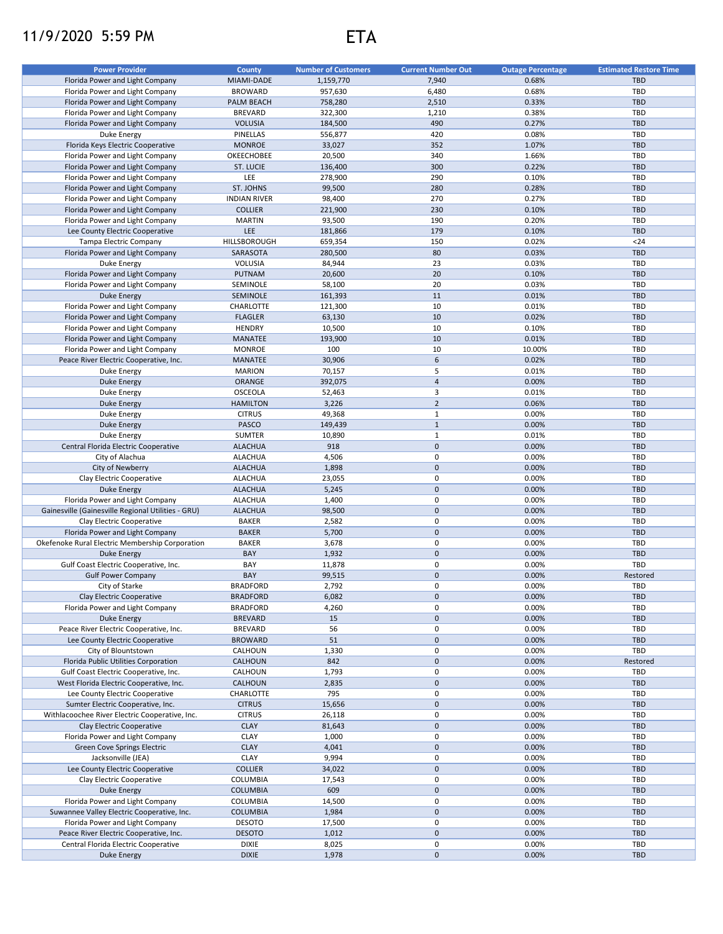## 11/9/2020 5:59 PM ETA

| <b>Power Provider</b>                              | County              | <b>Number of Customers</b> | <b>Current Number Out</b> | <b>Outage Percentage</b> | <b>Estimated Restore Time</b> |
|----------------------------------------------------|---------------------|----------------------------|---------------------------|--------------------------|-------------------------------|
| Florida Power and Light Company                    | MIAMI-DADE          | 1,159,770                  | 7,940                     | 0.68%                    | <b>TBD</b>                    |
| Florida Power and Light Company                    | <b>BROWARD</b>      | 957,630                    | 6,480                     | 0.68%                    | TBD                           |
| Florida Power and Light Company                    | PALM BEACH          | 758,280                    | 2,510                     | 0.33%                    | <b>TBD</b>                    |
| Florida Power and Light Company                    | <b>BREVARD</b>      | 322,300                    | 1,210                     | 0.38%                    | <b>TBD</b>                    |
| Florida Power and Light Company                    | <b>VOLUSIA</b>      | 184,500                    | 490                       | 0.27%                    | <b>TBD</b>                    |
| Duke Energy                                        | PINELLAS            | 556,877                    | 420                       | 0.08%                    | <b>TBD</b>                    |
| Florida Keys Electric Cooperative                  | <b>MONROE</b>       | 33,027                     | 352                       | 1.07%                    | <b>TBD</b>                    |
|                                                    |                     |                            |                           |                          |                               |
| Florida Power and Light Company                    | OKEECHOBEE          | 20,500                     | 340                       | 1.66%                    | <b>TBD</b>                    |
| Florida Power and Light Company                    | ST. LUCIE           | 136,400                    | 300                       | 0.22%                    | <b>TBD</b>                    |
| Florida Power and Light Company                    | LEE                 | 278,900                    | 290                       | 0.10%                    | <b>TBD</b>                    |
| Florida Power and Light Company                    | ST. JOHNS           | 99,500                     | 280                       | 0.28%                    | <b>TBD</b>                    |
| Florida Power and Light Company                    | <b>INDIAN RIVER</b> | 98,400                     | 270                       | 0.27%                    | <b>TBD</b>                    |
| Florida Power and Light Company                    | <b>COLLIER</b>      | 221,900                    | 230                       | 0.10%                    | <b>TBD</b>                    |
| Florida Power and Light Company                    | <b>MARTIN</b>       | 93,500                     | 190                       | 0.20%                    | TBD                           |
| Lee County Electric Cooperative                    | LEE                 | 181,866                    | 179                       | 0.10%                    | <b>TBD</b>                    |
| Tampa Electric Company                             | HILLSBOROUGH        | 659,354                    | 150                       | 0.02%                    | $24$                          |
| Florida Power and Light Company                    | SARASOTA            | 280,500                    | 80                        | 0.03%                    | <b>TBD</b>                    |
| Duke Energy                                        | <b>VOLUSIA</b>      | 84,944                     | 23                        | 0.03%                    | TBD                           |
| Florida Power and Light Company                    | <b>PUTNAM</b>       | 20,600                     | 20                        | 0.10%                    | <b>TBD</b>                    |
| Florida Power and Light Company                    | SEMINOLE            | 58,100                     | 20                        | 0.03%                    | <b>TBD</b>                    |
| <b>Duke Energy</b>                                 | SEMINOLE            | 161,393                    | 11                        | 0.01%                    | <b>TBD</b>                    |
| Florida Power and Light Company                    | CHARLOTTE           | 121,300                    | 10                        | 0.01%                    | <b>TBD</b>                    |
| Florida Power and Light Company                    | <b>FLAGLER</b>      | 63,130                     | 10                        | 0.02%                    | <b>TBD</b>                    |
| Florida Power and Light Company                    | <b>HENDRY</b>       | 10,500                     | 10                        | 0.10%                    | TBD                           |
| Florida Power and Light Company                    | <b>MANATEE</b>      | 193,900                    | 10                        | 0.01%                    | <b>TBD</b>                    |
| Florida Power and Light Company                    | <b>MONROE</b>       | 100                        | 10                        | 10.00%                   | TBD                           |
| Peace River Electric Cooperative, Inc.             | <b>MANATEE</b>      | 30,906                     | $\,$ 6 $\,$               | 0.02%                    | <b>TBD</b>                    |
| Duke Energy                                        | <b>MARION</b>       | 70,157                     | 5                         | 0.01%                    | TBD                           |
|                                                    |                     | 392,075                    | $\overline{4}$            | 0.00%                    | <b>TBD</b>                    |
| <b>Duke Energy</b>                                 | <b>ORANGE</b>       |                            |                           |                          |                               |
| Duke Energy                                        | <b>OSCEOLA</b>      | 52,463                     | 3                         | 0.01%                    | TBD                           |
| <b>Duke Energy</b>                                 | <b>HAMILTON</b>     | 3,226                      | $\overline{2}$            | 0.06%                    | <b>TBD</b>                    |
| Duke Energy                                        | <b>CITRUS</b>       | 49,368                     | $\mathbf 1$               | 0.00%                    | <b>TBD</b>                    |
| Duke Energy                                        | PASCO               | 149,439                    | $\mathbf{1}$              | 0.00%                    | <b>TBD</b>                    |
| Duke Energy                                        | <b>SUMTER</b>       | 10,890                     | $\mathbf{1}$              | 0.01%                    | <b>TBD</b>                    |
| Central Florida Electric Cooperative               | <b>ALACHUA</b>      | 918                        | $\mathbf 0$               | 0.00%                    | <b>TBD</b>                    |
| City of Alachua                                    | <b>ALACHUA</b>      | 4,506                      | 0                         | 0.00%                    | <b>TBD</b>                    |
| City of Newberry                                   | <b>ALACHUA</b>      | 1,898                      | $\mathbf 0$               | 0.00%                    | <b>TBD</b>                    |
| Clay Electric Cooperative                          | <b>ALACHUA</b>      | 23,055                     | 0                         | 0.00%                    | <b>TBD</b>                    |
| <b>Duke Energy</b>                                 | <b>ALACHUA</b>      | 5,245                      | $\mathbf 0$               | 0.00%                    | <b>TBD</b>                    |
| Florida Power and Light Company                    | <b>ALACHUA</b>      | 1,400                      | 0                         | 0.00%                    | <b>TBD</b>                    |
| Gainesville (Gainesville Regional Utilities - GRU) | <b>ALACHUA</b>      | 98,500                     | $\mathbf 0$               | 0.00%                    | <b>TBD</b>                    |
| Clay Electric Cooperative                          | <b>BAKER</b>        | 2,582                      | 0                         | 0.00%                    | <b>TBD</b>                    |
| Florida Power and Light Company                    | <b>BAKER</b>        | 5,700                      | $\mathbf 0$               | 0.00%                    | <b>TBD</b>                    |
| Okefenoke Rural Electric Membership Corporation    | <b>BAKER</b>        | 3,678                      | $\pmb{0}$                 | 0.00%                    | TBD                           |
| <b>Duke Energy</b>                                 | BAY                 | 1,932                      | $\mathsf{O}\xspace$       | 0.00%                    | <b>TBD</b>                    |
| Gulf Coast Electric Cooperative, Inc.              | BAY                 | 11,878                     | 0                         | 0.00%                    | TBD                           |
| <b>Gulf Power Company</b>                          | BAY                 | 99,515                     | $\mathbf 0$               | 0.00%                    | Restored                      |
| City of Starke                                     | <b>BRADFORD</b>     | 2,792                      | $\mathbf 0$               | 0.00%                    | TBD                           |
| Clay Electric Cooperative                          | <b>BRADFORD</b>     | 6,082                      | $\mathbf 0$               | 0.00%                    | <b>TBD</b>                    |
| Florida Power and Light Company                    |                     |                            | 0                         | 0.00%                    | TBD                           |
|                                                    | <b>BRADFORD</b>     | 4,260                      |                           |                          |                               |
| <b>Duke Energy</b>                                 | <b>BREVARD</b>      | 15                         | $\mathbf 0$               | 0.00%                    | <b>TBD</b>                    |
| Peace River Electric Cooperative, Inc.             | <b>BREVARD</b>      | 56                         | 0                         | 0.00%                    | TBD                           |
| Lee County Electric Cooperative                    | <b>BROWARD</b>      | 51                         | $\mathbf 0$               | 0.00%                    | <b>TBD</b>                    |
| City of Blountstown                                | CALHOUN             | 1,330                      | 0                         | 0.00%                    | TBD                           |
| Florida Public Utilities Corporation               | CALHOUN             | 842                        | $\mathbf 0$               | 0.00%                    | Restored                      |
| Gulf Coast Electric Cooperative, Inc.              | CALHOUN             | 1,793                      | 0                         | 0.00%                    | TBD                           |
| West Florida Electric Cooperative, Inc.            | CALHOUN             | 2,835                      | $\mathsf{O}\xspace$       | 0.00%                    | <b>TBD</b>                    |
| Lee County Electric Cooperative                    | CHARLOTTE           | 795                        | 0                         | 0.00%                    | TBD                           |
| Sumter Electric Cooperative, Inc.                  | <b>CITRUS</b>       | 15,656                     | $\mathbf 0$               | 0.00%                    | <b>TBD</b>                    |
| Withlacoochee River Electric Cooperative, Inc.     | <b>CITRUS</b>       | 26,118                     | 0                         | 0.00%                    | TBD                           |
| Clay Electric Cooperative                          | <b>CLAY</b>         | 81,643                     | $\mathsf{O}\xspace$       | 0.00%                    | <b>TBD</b>                    |
| Florida Power and Light Company                    | <b>CLAY</b>         | 1,000                      | 0                         | 0.00%                    | TBD                           |
| Green Cove Springs Electric                        | <b>CLAY</b>         | 4,041                      | $\mathsf{O}\xspace$       | 0.00%                    | <b>TBD</b>                    |
| Jacksonville (JEA)                                 | CLAY                | 9,994                      | 0                         | 0.00%                    | <b>TBD</b>                    |
| Lee County Electric Cooperative                    | <b>COLLIER</b>      | 34,022                     | $\mathbf 0$               | 0.00%                    | <b>TBD</b>                    |
| Clay Electric Cooperative                          | COLUMBIA            | 17,543                     | 0                         | 0.00%                    | <b>TBD</b>                    |
| Duke Energy                                        | COLUMBIA            | 609                        | $\mathsf{O}\xspace$       | 0.00%                    | <b>TBD</b>                    |
| Florida Power and Light Company                    | COLUMBIA            | 14,500                     | $\pmb{0}$                 | 0.00%                    | TBD                           |
| Suwannee Valley Electric Cooperative, Inc.         | <b>COLUMBIA</b>     | 1,984                      | $\pmb{0}$                 | 0.00%                    | TBD                           |
|                                                    |                     |                            |                           |                          |                               |
| Florida Power and Light Company                    | <b>DESOTO</b>       | 17,500                     | 0                         | 0.00%                    | <b>TBD</b>                    |
| Peace River Electric Cooperative, Inc.             | <b>DESOTO</b>       | 1,012                      | $\mathbf 0$               | 0.00%                    | <b>TBD</b>                    |
| Central Florida Electric Cooperative               | <b>DIXIE</b>        | 8,025                      | 0                         | 0.00%                    | <b>TBD</b>                    |
| Duke Energy                                        | <b>DIXIE</b>        | 1,978                      | $\pmb{0}$                 | 0.00%                    | <b>TBD</b>                    |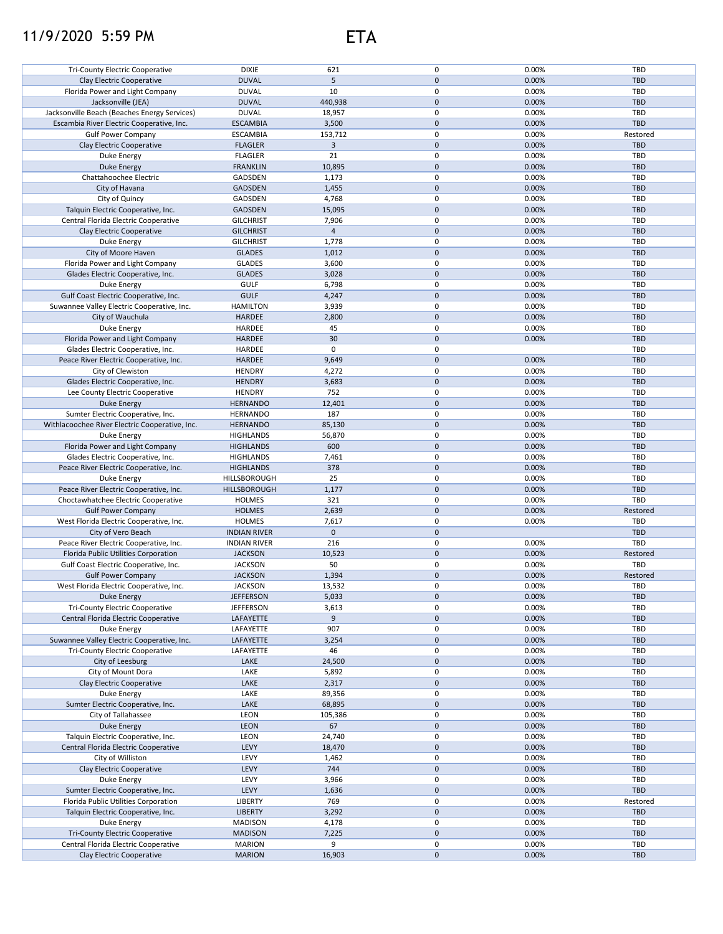## 11/9/2020 5:59 PM ETA



| <b>Tri-County Electric Cooperative</b>                            | <b>DIXIE</b>                   | 621            | 0                   | 0.00%          | TBD        |
|-------------------------------------------------------------------|--------------------------------|----------------|---------------------|----------------|------------|
| Clay Electric Cooperative                                         | <b>DUVAL</b>                   | 5              | $\mathbf{0}$        | 0.00%          | <b>TBD</b> |
|                                                                   |                                |                |                     |                |            |
| Florida Power and Light Company                                   | <b>DUVAL</b>                   | 10             | 0                   | 0.00%          | TBD        |
| Jacksonville (JEA)                                                | <b>DUVAL</b>                   | 440,938        | $\pmb{0}$           | 0.00%          | <b>TBD</b> |
| Jacksonville Beach (Beaches Energy Services)                      | <b>DUVAL</b>                   | 18,957         | $\pmb{0}$           | 0.00%          | TBD        |
| Escambia River Electric Cooperative, Inc.                         | <b>ESCAMBIA</b>                | 3,500          | $\mathbf 0$         | 0.00%          | <b>TBD</b> |
| <b>Gulf Power Company</b>                                         | <b>ESCAMBIA</b>                | 153,712        | 0                   | 0.00%          | Restored   |
|                                                                   |                                |                | $\mathbf 0$         |                | <b>TBD</b> |
| Clay Electric Cooperative                                         | <b>FLAGLER</b>                 | 3              |                     | 0.00%          |            |
| Duke Energy                                                       | <b>FLAGLER</b>                 | 21             | 0                   | 0.00%          | TBD        |
| <b>Duke Energy</b>                                                | <b>FRANKLIN</b>                | 10,895         | $\mathbf 0$         | 0.00%          | <b>TBD</b> |
| Chattahoochee Electric                                            | GADSDEN                        | 1,173          | 0                   | 0.00%          | TBD        |
| City of Havana                                                    | <b>GADSDEN</b>                 | 1,455          | $\mathbf 0$         | 0.00%          | <b>TBD</b> |
|                                                                   |                                |                |                     |                |            |
| City of Quincy                                                    | GADSDEN                        | 4,768          | 0                   | 0.00%          | TBD        |
| Talquin Electric Cooperative, Inc.                                | <b>GADSDEN</b>                 | 15,095         | $\mathbf 0$         | 0.00%          | <b>TBD</b> |
| Central Florida Electric Cooperative                              | <b>GILCHRIST</b>               | 7,906          | 0                   | 0.00%          | TBD        |
| Clay Electric Cooperative                                         | <b>GILCHRIST</b>               | $\overline{4}$ | $\mathbf 0$         | 0.00%          | <b>TBD</b> |
| Duke Energy                                                       | <b>GILCHRIST</b>               | 1,778          | 0                   | 0.00%          | TBD        |
|                                                                   |                                |                |                     |                |            |
| City of Moore Haven                                               | <b>GLADES</b>                  | 1,012          | $\mathbf 0$         | 0.00%          | <b>TBD</b> |
| Florida Power and Light Company                                   | <b>GLADES</b>                  | 3,600          | 0                   | 0.00%          | TBD        |
| Glades Electric Cooperative, Inc.                                 | <b>GLADES</b>                  | 3,028          | $\mathbf 0$         | 0.00%          | <b>TBD</b> |
| Duke Energy                                                       | <b>GULF</b>                    | 6,798          | 0                   | 0.00%          | TBD        |
|                                                                   |                                |                |                     |                |            |
| Gulf Coast Electric Cooperative, Inc.                             | <b>GULF</b>                    | 4,247          | $\mathbf 0$         | 0.00%          | <b>TBD</b> |
| Suwannee Valley Electric Cooperative, Inc.                        | <b>HAMILTON</b>                | 3,939          | 0                   | 0.00%          | TBD        |
| City of Wauchula                                                  | <b>HARDEE</b>                  | 2,800          | $\mathbf 0$         | 0.00%          | <b>TBD</b> |
| Duke Energy                                                       | HARDEE                         | 45             | 0                   | 0.00%          | TBD        |
| Florida Power and Light Company                                   | <b>HARDEE</b>                  | 30             | $\mathbf 0$         | 0.00%          | <b>TBD</b> |
|                                                                   |                                |                |                     |                |            |
| Glades Electric Cooperative, Inc.                                 | HARDEE                         | 0              | 0                   |                | TBD        |
| Peace River Electric Cooperative, Inc.                            | HARDEE                         | 9,649          | $\mathbf 0$         | 0.00%          | <b>TBD</b> |
| City of Clewiston                                                 | <b>HENDRY</b>                  | 4,272          | $\pmb{0}$           | 0.00%          | TBD        |
| Glades Electric Cooperative, Inc.                                 | <b>HENDRY</b>                  | 3,683          | $\pmb{0}$           | 0.00%          | <b>TBD</b> |
| Lee County Electric Cooperative                                   | <b>HENDRY</b>                  | 752            | 0                   | 0.00%          | TBD        |
|                                                                   |                                |                |                     |                |            |
| Duke Energy                                                       | <b>HERNANDO</b>                | 12,401         | $\mathbf 0$         | 0.00%          | <b>TBD</b> |
| Sumter Electric Cooperative, Inc.                                 | <b>HERNANDO</b>                | 187            | 0                   | 0.00%          | TBD        |
| Withlacoochee River Electric Cooperative, Inc.                    | <b>HERNANDO</b>                | 85,130         | $\mathbf 0$         | 0.00%          | <b>TBD</b> |
| Duke Energy                                                       | <b>HIGHLANDS</b>               | 56,870         | 0                   | 0.00%          | TBD        |
| Florida Power and Light Company                                   | <b>HIGHLANDS</b>               | 600            | $\mathbf 0$         | 0.00%          | <b>TBD</b> |
|                                                                   |                                |                |                     |                |            |
| Glades Electric Cooperative, Inc.                                 | <b>HIGHLANDS</b>               | 7,461          | 0                   | 0.00%          | <b>TBD</b> |
| Peace River Electric Cooperative, Inc.                            | <b>HIGHLANDS</b>               | 378            | $\mathbf 0$         | 0.00%          | <b>TBD</b> |
| Duke Energy                                                       | HILLSBOROUGH                   |                |                     |                |            |
|                                                                   |                                | 25             | 0                   | 0.00%          | TBD        |
|                                                                   |                                |                |                     |                |            |
| Peace River Electric Cooperative, Inc.                            | HILLSBOROUGH                   | 1,177          | $\mathbf 0$         | 0.00%          | <b>TBD</b> |
| Choctawhatchee Electric Cooperative                               | <b>HOLMES</b>                  | 321            | 0                   | 0.00%          | TBD        |
| <b>Gulf Power Company</b>                                         | <b>HOLMES</b>                  | 2,639          | $\mathbf 0$         | 0.00%          | Restored   |
| West Florida Electric Cooperative, Inc.                           | <b>HOLMES</b>                  | 7,617          | 0                   | 0.00%          | TBD        |
| City of Vero Beach                                                | <b>INDIAN RIVER</b>            | $\mathbf 0$    | $\mathbf 0$         |                | <b>TBD</b> |
| Peace River Electric Cooperative, Inc.                            | <b>INDIAN RIVER</b>            | 216            | 0                   |                | TBD        |
|                                                                   |                                |                |                     | 0.00%          |            |
| Florida Public Utilities Corporation                              | <b>JACKSON</b>                 | 10,523         | $\mathbf 0$         | 0.00%          | Restored   |
| Gulf Coast Electric Cooperative, Inc.                             | <b>JACKSON</b>                 | 50             | 0                   | 0.00%          | TBD        |
| <b>Gulf Power Company</b>                                         | <b>JACKSON</b>                 | 1,394          | $\pmb{0}$           | 0.00%          | Restored   |
| West Florida Electric Cooperative, Inc.                           | <b>JACKSON</b>                 | 13,532         | $\Omega$            | 0.00%          | TBD        |
|                                                                   |                                |                |                     |                |            |
| Duke Energy                                                       | <b>JEFFERSON</b>               | 5,033          | $\pmb{0}$           | 0.00%          | <b>TBD</b> |
| Tri-County Electric Cooperative                                   | <b>JEFFERSON</b>               | 3,613          | 0                   | 0.00%          | TBD        |
| Central Florida Electric Cooperative                              | LAFAYETTE                      | 9              | $\mathbf 0$         | 0.00%          | <b>TBD</b> |
| Duke Energy                                                       | LAFAYETTE                      | 907            | 0                   | 0.00%          | TBD        |
| Suwannee Valley Electric Cooperative, Inc.                        | LAFAYETTE                      | 3,254          | $\pmb{0}$           | 0.00%          | <b>TBD</b> |
| <b>Tri-County Electric Cooperative</b>                            | LAFAYETTE                      | 46             | 0                   | 0.00%          | TBD        |
|                                                                   |                                |                |                     |                |            |
| City of Leesburg                                                  | LAKE                           | 24,500         | $\pmb{0}$           | 0.00%          | <b>TBD</b> |
| City of Mount Dora                                                | LAKE                           | 5,892          | 0                   | 0.00%          | TBD        |
| Clay Electric Cooperative                                         | LAKE                           | 2,317          | $\pmb{0}$           | 0.00%          | <b>TBD</b> |
| Duke Energy                                                       | LAKE                           | 89,356         | 0                   | 0.00%          | TBD        |
| Sumter Electric Cooperative, Inc.                                 | LAKE                           | 68,895         | $\pmb{0}$           | 0.00%          | <b>TBD</b> |
|                                                                   |                                |                |                     |                |            |
| City of Tallahassee                                               | LEON                           | 105,386        | 0                   | 0.00%          | TBD        |
| Duke Energy                                                       | <b>LEON</b>                    | 67             | $\pmb{0}$           | 0.00%          | <b>TBD</b> |
| Talquin Electric Cooperative, Inc.                                | LEON                           | 24,740         | 0                   | 0.00%          | TBD        |
| Central Florida Electric Cooperative                              | LEVY                           | 18,470         | $\mathsf{O}\xspace$ | 0.00%          | TBD        |
| City of Williston                                                 | LEVY                           | 1,462          | 0                   | 0.00%          | TBD        |
|                                                                   |                                |                |                     |                |            |
| Clay Electric Cooperative                                         | LEVY                           | 744            | $\mathsf{O}\xspace$ | 0.00%          | <b>TBD</b> |
| Duke Energy                                                       | LEVY                           | 3,966          | 0                   | 0.00%          | TBD        |
| Sumter Electric Cooperative, Inc.                                 | LEVY                           | 1,636          | $\mathsf{O}\xspace$ | 0.00%          | TBD        |
| Florida Public Utilities Corporation                              | <b>LIBERTY</b>                 | 769            | 0                   | 0.00%          | Restored   |
| Talquin Electric Cooperative, Inc.                                | <b>LIBERTY</b>                 | 3,292          | $\mathbf 0$         | 0.00%          | <b>TBD</b> |
|                                                                   |                                |                |                     |                |            |
| Duke Energy                                                       | <b>MADISON</b>                 | 4,178          | 0                   | 0.00%          | TBD        |
| Tri-County Electric Cooperative                                   | <b>MADISON</b>                 | 7,225          | $\pmb{0}$           | 0.00%          | <b>TBD</b> |
| Central Florida Electric Cooperative<br>Clay Electric Cooperative | <b>MARION</b><br><b>MARION</b> | 9<br>16,903    | 0<br>$\pmb{0}$      | 0.00%<br>0.00% | TBD<br>TBD |